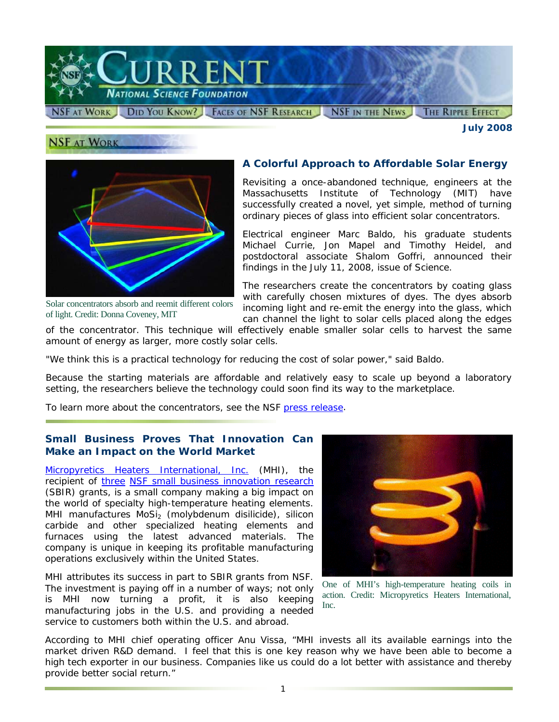

*July 2008* 



**NSF AT WORK** 

Solar concentrators absorb and reemit different colors of light. Credit: Donna Coveney, MIT

### **A Colorful Approach to Affordable Solar Energy**

Revisiting a once-abandoned technique, engineers at the Massachusetts Institute of Technology (MIT) have successfully created a novel, yet simple, method of turning ordinary pieces of glass into efficient solar concentrators.

Electrical engineer Marc Baldo, his graduate students Michael Currie, Jon Mapel and Timothy Heidel, and postdoctoral associate Shalom Goffri, announced their findings in the July 11, 2008, issue of *Science*.

The researchers create the concentrators by coating glass with carefully chosen mixtures of dyes. The dyes absorb incoming light and re-emit the energy into the glass, which can channel the light to solar cells placed along the edges

of the concentrator. This technique will effectively enable smaller solar cells to harvest the same amount of energy as larger, more costly solar cells.

"We think this is a practical technology for reducing the cost of solar power," said Baldo.

Because the starting materials are affordable and relatively easy to scale up beyond a laboratory setting, the researchers believe the technology could soon find its way to the marketplace.

To learn more about the concentrators, see the NSF [press release.](http://www.nsf.gov/news/news_summ.jsp?cntn_id=111903&org=NSF&from=news)

### **Small Business Proves That Innovation Can Make an Impact on the World Market**

[Micropyretics Heaters International, Inc.](http://www.nsf.gov/cgi-bin/goodbye?http://www.mhi-inc.com/) (MHI), the recipient of [three](http://www.nsf.gov/awardsearch/piSearch.do?SearchType=piSearch&page=1&QueryText=&PIFirstName=&PILastName=&PIInstitution=micropyretics+&PIState=&PIZip=&PICountry=&Search=Search#ults) [NSF small business innovation research](http://www.nsf.gov/funding/pgm_summ.jsp?pims_id=5527) (SBIR) grants, is a small company making a big impact on the world of specialty high-temperature heating elements. MHI manufactures MoSi<sub>2</sub> (molybdenum disilicide), silicon carbide and other specialized heating elements and furnaces using the latest advanced materials. The company is unique in keeping its profitable manufacturing operations exclusively within the United States.

MHI attributes its success in part to SBIR grants from NSF. The investment is paying off in a number of ways; not only is MHI now turning a profit, it is also keeping manufacturing jobs in the U.S. and providing a needed service to customers both within the U.S. and abroad.



One of MHI's high-temperature heating coils in action. Credit: Micropyretics Heaters International, Inc.

According to MHI chief operating officer Anu Vissa, "MHI invests all its available earnings into the market driven R&D demand. I feel that this is one key reason why we have been able to become a high tech exporter in our business. Companies like us could do a lot better with assistance and thereby provide better social return."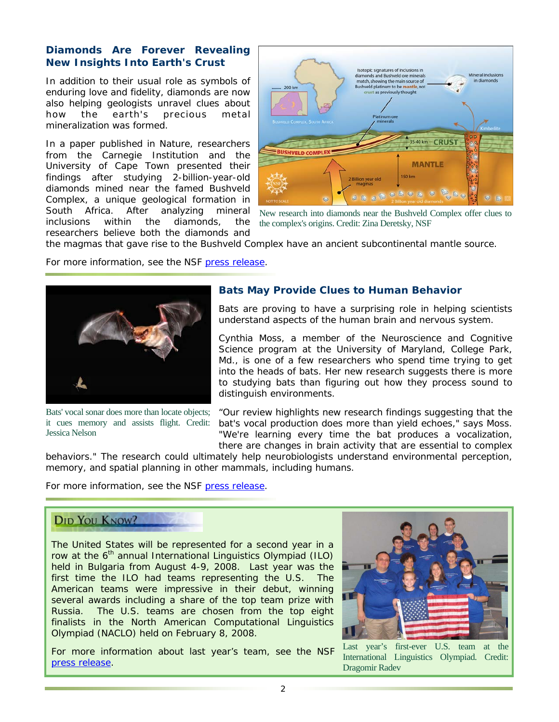### **Diamonds Are Forever Revealing New Insights Into Earth's Crust**

In addition to their usual role as symbols of enduring love and fidelity, diamonds are now also helping geologists unravel clues about how the earth's precious metal mineralization was formed.

In a paper published in *Nature*, researchers from the Carnegie Institution and the University of Cape Town presented their findings after studying 2-billion-year-old diamonds mined near the famed Bushveld Complex, a unique geological formation in South Africa. After analyzing mineral inclusions within the diamonds, the researchers believe both the diamonds and



New research into diamonds near the Bushveld Complex offer clues to the complex's origins. Credit: Zina Deretsky, NSF

the magmas that gave rise to the Bushveld Complex have an ancient subcontinental mantle source.

For more information, see the NSF [press release.](http://nsf.gov/news/news_summ.jsp?cntn_id=111695&org=NSF)



Bats' vocal sonar does more than locate objects; it cues memory and assists flight. Credit: Jessica Nelson

### **Bats May Provide Clues to Human Behavior**

Bats are proving to have a surprising role in helping scientists understand aspects of the human brain and nervous system.

Cynthia Moss, a member of the Neuroscience and Cognitive Science program at the University of Maryland, College Park, Md., is one of a few researchers who spend time trying to get into the heads of bats. Her new research suggests there is more to studying bats than figuring out how they process sound to distinguish environments.

"Our review highlights new research findings suggesting that the bat's vocal production does more than yield echoes," says Moss. "We're learning every time the bat produces a vocalization, there are changes in brain activity that are essential to complex

behaviors." The research could ultimately help neurobiologists understand environmental perception, memory, and spatial planning in other mammals, including humans.

For more information, see the NSF [press release.](http://www.nsf.gov/news/news_summ.jsp?cntn_id=111763&org=NSF&from=news)

# **DID YOU KNOW?**

The United States will be represented for a second year in a row at the  $6<sup>th</sup>$  annual International Linguistics Olympiad (ILO) held in Bulgaria from August 4-9, 2008. Last year was the first time the ILO had teams representing the U.S. The American teams were impressive in their debut, winning several awards including a share of the top team prize with Russia. The U.S. teams are chosen from the top eight finalists in the North American Computational Linguistics Olympiad (NACLO) held on February 8, 2008.

For more information about last year's team, see the NSF [press release.](http://www.nsf.gov/news/news_summ.jsp?cntn_id=109891&org=NSF)



Last year's first-ever U.S. team at the International Linguistics Olympiad. Credit: Dragomir Radev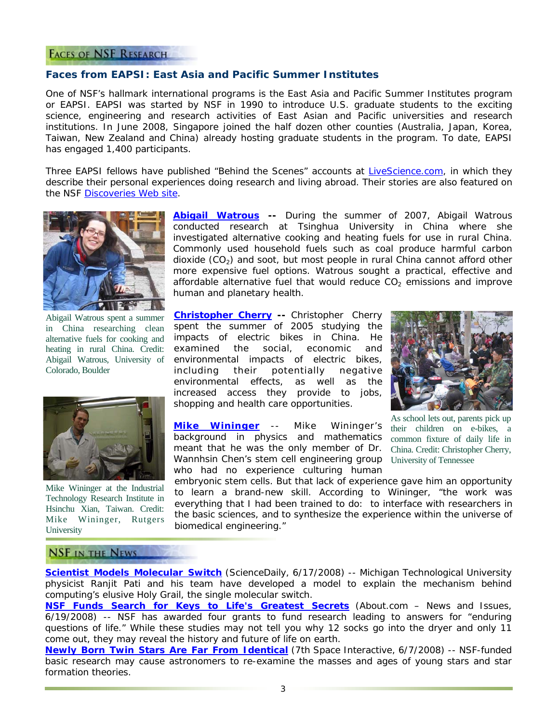#### **FACES OF NSF RESEARCH**

#### **Faces from EAPSI: East Asia and Pacific Summer Institutes**

One of NSF's hallmark international programs is the East Asia and Pacific Summer Institutes program or EAPSI. EAPSI was started by NSF in 1990 to introduce U.S. graduate students to the exciting science, engineering and research activities of East Asian and Pacific universities and research institutions. In June 2008, Singapore joined the half dozen other counties (Australia, Japan, Korea, Taiwan, New Zealand and China) already hosting graduate students in the program. To date, EAPSI has engaged 1,400 participants.

Three EAPSI fellows have published "Behind the Scenes" accounts at [LiveScience.com,](http://www.nsf.gov/cgi-bin/goodbye?http://www.livescience.com/) in which they describe their personal experiences doing research and living abroad. Their stories are also featured on the NSF [Discoveries Web site.](http://www.nsf.gov/discoveries/)



Abigail Watrous spent a summer in China researching clean alternative fuels for cooking and heating in rural China. Credit: Abigail Watrous, University of Colorado, Boulder



Mike Wininger at the Industrial Technology Research Institute in Hsinchu Xian, Taiwan. Credit: Mike Wininger, Rutgers University

**[Abigail Watrous](http://www.nsf.gov/cgi-bin/goodbye?http://www.livescience.com/environment/080530-bts-chinese-combustibles.html) --** During the summer of 2007, Abigail Watrous conducted research at Tsinghua University in China where she investigated alternative cooking and heating fuels for use in rural China. Commonly used household fuels such as coal produce harmful carbon dioxide  $(CO<sub>2</sub>)$  and soot, but most people in rural China cannot afford other more expensive fuel options. Watrous sought a practical, effective and affordable alternative fuel that would reduce  $CO<sub>2</sub>$  emissions and improve human and planetary health.

**[Christopher Cherry](http://www.nsf.gov/cgi-bin/goodbye?http://www.livescience.com/environment/071109-bts-electric-bikes.html) --** Christopher Cherry spent the summer of 2005 studying the impacts of electric bikes in China. He examined the social, economic and environmental impacts of electric bikes, including their potentially negative environmental effects, as well as the increased access they provide to jobs, shopping and health care opportunities.

**[Mike Wininger](http://www.nsf.gov/cgi-bin/goodbye?http://www.livescience.com/health/080111-bts-stem-cells.html)** -- Mike Wininger's background in physics and mathematics meant that he was the only member of Dr. Wannhsin Chen's stem cell engineering group University of Tennessee who had no experience culturing human



As school lets out, parents pick up their children on e-bikes, a common fixture of daily life in China. Credit: Christopher Cherry,

embryonic stem cells. But that lack of experience gave him an opportunity to learn a brand-new skill. According to Wininger, "the work was everything that I had been trained to do: to interface with researchers in the basic sciences, and to synthesize the experience within the universe of biomedical engineering."

#### **NSF IN THE NEWS**

**[Scientist Models Molecular Switch](http://www.nsf.gov/cgi-bin/goodbye?http://www.sciencedaily.com/releases/2008/06/080616144859.htm)** *(ScienceDaily, 6/17/2008*) -- Michigan Technological University physicist Ranjit Pati and his team have developed a model to explain the mechanism behind computing's elusive Holy Grail, the single molecular switch.

**[NSF Funds Search for Keys to Life's Greatest Secrets](http://www.nsf.gov/cgi-bin/goodbye?http://usgovinfo.about.com/b/2008/06/19/nsf-funds-search-for-keys-to-lifes-greatest-secrets.htm)** *(About.com – News and Issues, 6/19/2008) --* NSF has awarded four grants to fund research leading to answers for "enduring questions of life." While these studies may not tell you why 12 socks go into the dryer and only 11 come out, they may reveal the history and future of life on earth.

**[Newly Born Twin Stars Are Far From Identical](http://www.nsf.gov/cgi-bin/goodbye?http://7thspace.com/headlines/284892/newly_born_twin_stars_are_far_from_identical.html)** (*7th Space Interactive, 6/7/2008) --* NSF-funded basic research may cause astronomers to re-examine the masses and ages of young stars and star formation theories.